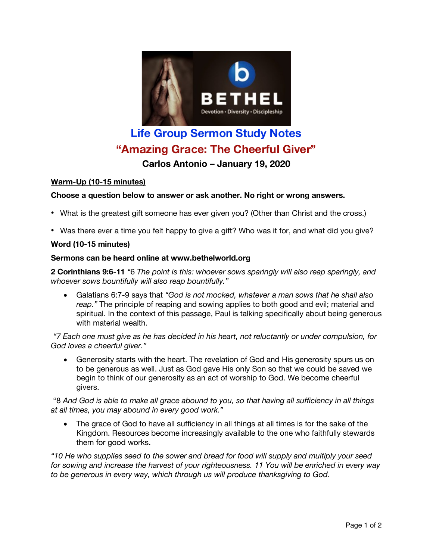

# **Life Group Sermon Study Notes "Amazing Grace: The Cheerful Giver"**

**Carlos Antonio – January 19, 2020**

## **Warm-Up (10-15 minutes)**

## **Choose a question below to answer or ask another. No right or wrong answers.**

- What is the greatest gift someone has ever given you? (Other than Christ and the cross.)
- Was there ever a time you felt happy to give a gift? Who was it for, and what did you give?

### **Word (10-15 minutes)**

### **Sermons can be heard online at www.bethelworld.org**

**2 Corinthians 9:6-11** *"*6 *The point is this: whoever sows sparingly will also reap sparingly, and whoever sows bountifully will also reap bountifully."*

• Galatians 6:7-9 says that *"God is not mocked, whatever a man sows that he shall also reap."* The principle of reaping and sowing applies to both good and evil; material and spiritual. In the context of this passage, Paul is talking specifically about being generous with material wealth.

*"7 Each one must give as he has decided in his heart, not reluctantly or under compulsion, for God loves a cheerful giver."*

• Generosity starts with the heart. The revelation of God and His generosity spurs us on to be generous as well. Just as God gave His only Son so that we could be saved we begin to think of our generosity as an act of worship to God. We become cheerful givers.

"8 And God is able to make all grace abound to you, so that having all sufficiency in all things *at all times, you may abound in every good work."*

• The grace of God to have all sufficiency in all things at all times is for the sake of the Kingdom. Resources become increasingly available to the one who faithfully stewards them for good works.

*"10 He who supplies seed to the sower and bread for food will supply and multiply your seed for sowing and increase the harvest of your righteousness. 11 You will be enriched in every way to be generous in every way, which through us will produce thanksgiving to God.*